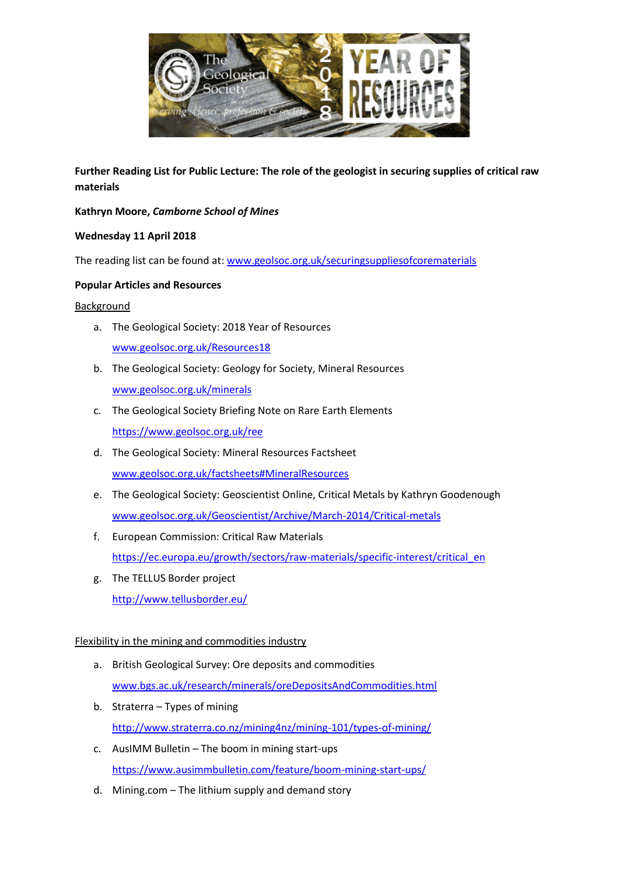

**Further Reading List for Public Lecture: The role of the geologist in securing supplies of critical raw materials**

## **Kathryn Moore,** *Camborne School of Mines*

## **Wednesday 11 April 2018**

The reading list can be found at: [www.geolsoc.org.uk/securingsuppliesofcorematerials](http://www.geolsoc.org.uk/securingsuppliesofcorematerials)

## **Popular Articles and Resources**

### Background

- a. The Geological Society: 2018 Year of Resources [www.geolsoc.org.uk/Resources18](http://www.geolsoc.org.uk/Resources18)
- b. The Geological Society: Geology for Society, Mineral Resources [www.geolsoc.org.uk/minerals](http://www.geolsoc.org.uk/minerals)
- c. The Geological Society Briefing Note on Rare Earth Elements <https://www.geolsoc.org.uk/ree>
- d. The Geological Society: Mineral Resources Factsheet [www.geolsoc.org.uk/factsheets#MineralResources](http://www.geolsoc.org.uk/factsheets#MineralResources)
- e. The Geological Society: Geoscientist Online, Critical Metals by Kathryn Goodenough [www.geolsoc.org.uk/Geoscientist/Archive/March-2014/Critical-metals](http://www.geolsoc.org.uk/Geoscientist/Archive/March-2014/Critical-metals)
- f. European Commission: Critical Raw Materials [https://ec.europa.eu/growth/sectors/raw-materials/specific-interest/critical\\_en](https://ec.europa.eu/growth/sectors/raw-materials/specific-interest/critical_en)
- g. The TELLUS Border project <http://www.tellusborder.eu/>

# Flexibility in the mining and commodities industry

- a. British Geological Survey: Ore deposits and commodities [www.bgs.ac.uk/research/minerals/oreDepositsAndCommodities.html](http://www.bgs.ac.uk/research/minerals/oreDepositsAndCommodities.html)
- b. Straterra Types of mining <http://www.straterra.co.nz/mining4nz/mining-101/types-of-mining/>
- c. AusIMM Bulletin The boom in mining start-ups <https://www.ausimmbulletin.com/feature/boom-mining-start-ups/>
- d. Mining.com The lithium supply and demand story